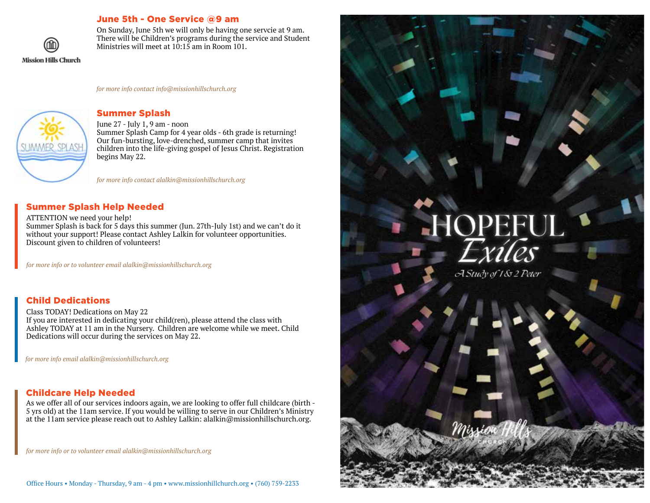# June 5th - One Service @9 am



On Sunday, June 5th we will only be having one servcie at 9 am. There will be Children's programs during the service and Student Ministries will meet at 10:15 am in Room 101.

*for more info contact info@missionhillschurch.org*



### Summer Splash

June 27 - July 1, 9 am - noon Summer Splash Camp for 4 year olds - 6th grade is returning! Our fun-bursting, love-drenched, summer camp that invites children into the life-giving gospel of Jesus Christ. Registration begins May 22.

*for more info contact alalkin@missionhillschurch.org*

## Summer Splash Help Needed

#### ATTENTION we need your help!

Summer Splash is back for 5 days this summer (Jun. 27th-July 1st) and we can't do it without your support! Please contact Ashley Lalkin for volunteer opportunities. Discount given to children of volunteers!

*for more info or to volunteer email alalkin@missionhillschurch.org*

# Child Dedications

Class TODAY! Dedications on May 22 If you are interested in dedicating your child(ren), please attend the class with Ashley TODAY at 11 am in the Nursery. Children are welcome while we meet. Child Dedications will occur during the services on May 22.

*for more info email alalkin@missionhillschurch.org*

# Childcare Help Needed

As we offer all of our services indoors again, we are looking to offer full childcare (birth - 5 yrs old) at the 11am service. If you would be willing to serve in our Children's Ministry at the 11am service please reach out to Ashley Lalkin: alalkin@missionhillschurch.org.

*for more info or to volunteer email alalkin@missionhillschurch.org*